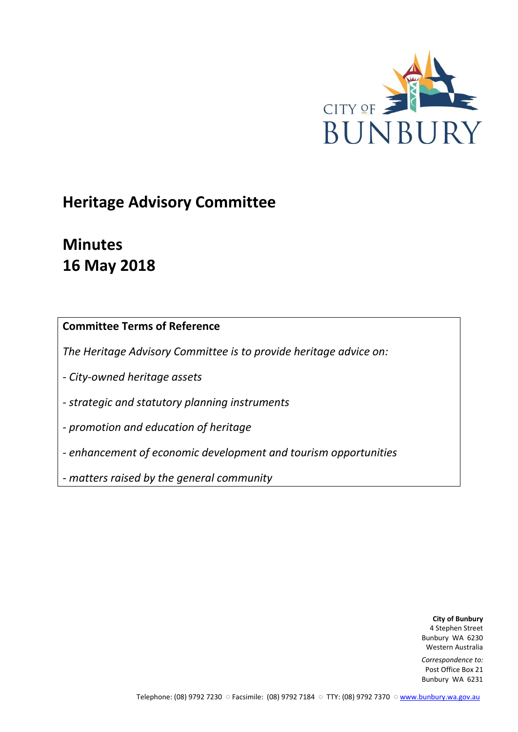

## **Heritage Advisory Committee**

# **Minutes 16 May 2018**

## **Committee Terms of Reference**

*The Heritage Advisory Committee is to provide heritage advice on:*

*- City-owned heritage assets*

*- strategic and statutory planning instruments*

*- promotion and education of heritage*

*- enhancement of economic development and tourism opportunities*

*- matters raised by the general community*

**City of Bunbury** 4 Stephen Street Bunbury WA 6230 Western Australia

*Correspondence to:* Post Office Box 21 Bunbury WA 6231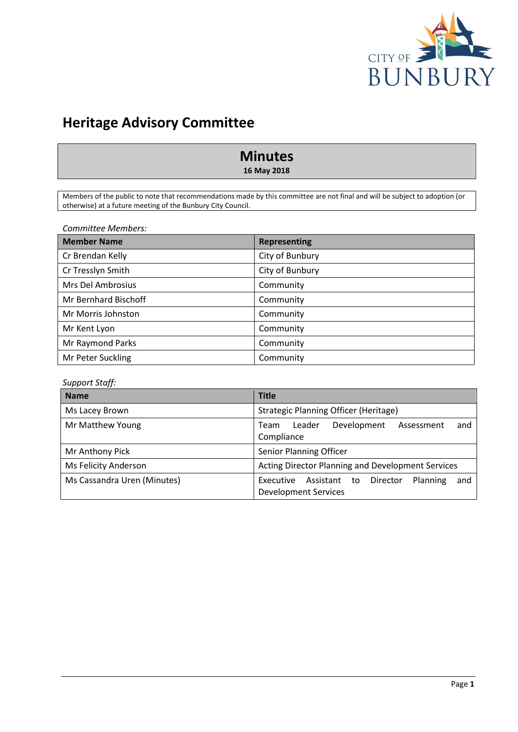

## **Heritage Advisory Committee**

## **Minutes**

**16 May 2018**

Members of the public to note that recommendations made by this committee are not final and will be subject to adoption (or otherwise) at a future meeting of the Bunbury City Council.

*Committee Members:*

| <b>Member Name</b>   | <b>Representing</b> |
|----------------------|---------------------|
| Cr Brendan Kelly     | City of Bunbury     |
| Cr Tresslyn Smith    | City of Bunbury     |
| Mrs Del Ambrosius    | Community           |
| Mr Bernhard Bischoff | Community           |
| Mr Morris Johnston   | Community           |
| Mr Kent Lyon         | Community           |
| Mr Raymond Parks     | Community           |
| Mr Peter Suckling    | Community           |

## *Support Staff:*

| <b>Name</b>                 | <b>Title</b>                                                                            |  |  |
|-----------------------------|-----------------------------------------------------------------------------------------|--|--|
| Ms Lacey Brown              | <b>Strategic Planning Officer (Heritage)</b>                                            |  |  |
| Mr Matthew Young            | Leader<br>Development<br>Assessment<br>and<br>Team<br>Compliance                        |  |  |
| Mr Anthony Pick             | <b>Senior Planning Officer</b>                                                          |  |  |
| Ms Felicity Anderson        | Acting Director Planning and Development Services                                       |  |  |
| Ms Cassandra Uren (Minutes) | Director<br>Executive<br>Assistant to<br>Planning<br>and<br><b>Development Services</b> |  |  |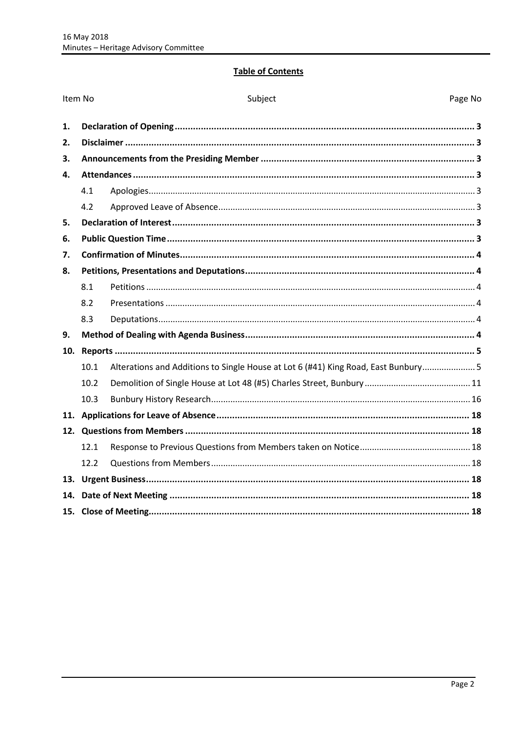## **Table of Contents**

| Item No |      | Subject                                                                            | Page No |
|---------|------|------------------------------------------------------------------------------------|---------|
| 1.      |      |                                                                                    |         |
| 2.      |      |                                                                                    |         |
| 3.      |      |                                                                                    |         |
| 4.      |      |                                                                                    |         |
|         | 4.1  |                                                                                    |         |
|         | 4.2  |                                                                                    |         |
| 5.      |      |                                                                                    |         |
| 6.      |      |                                                                                    |         |
| 7.      |      |                                                                                    |         |
| 8.      |      |                                                                                    |         |
|         | 8.1  |                                                                                    |         |
|         | 8.2  |                                                                                    |         |
|         | 8.3  |                                                                                    |         |
| 9.      |      |                                                                                    |         |
| 10.     |      |                                                                                    |         |
|         | 10.1 | Alterations and Additions to Single House at Lot 6 (#41) King Road, East Bunbury 5 |         |
|         | 10.2 |                                                                                    |         |
|         | 10.3 |                                                                                    |         |
|         |      |                                                                                    |         |
|         |      |                                                                                    |         |
|         | 12.1 |                                                                                    |         |
|         | 12.2 |                                                                                    |         |
| 13.     |      |                                                                                    |         |
| 14.     |      |                                                                                    |         |
|         |      |                                                                                    |         |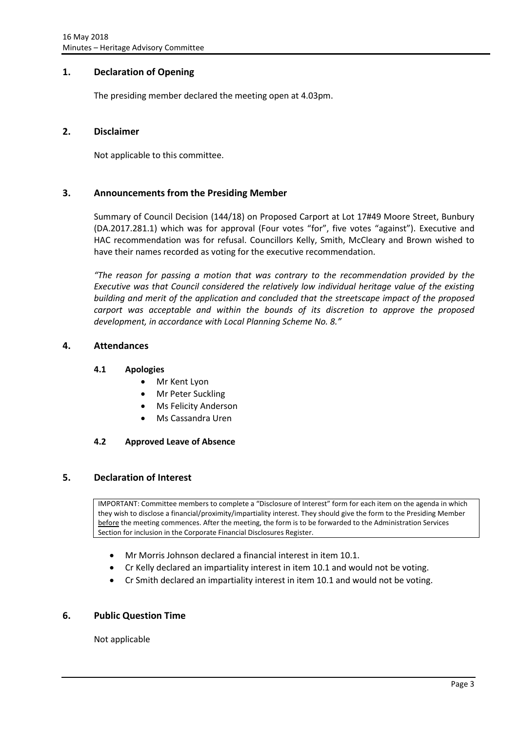## <span id="page-3-0"></span>**1. Declaration of Opening**

The presiding member declared the meeting open at 4.03pm.

## <span id="page-3-1"></span>**2. Disclaimer**

Not applicable to this committee.

## <span id="page-3-2"></span>**3. Announcements from the Presiding Member**

Summary of Council Decision (144/18) on Proposed Carport at Lot 17#49 Moore Street, Bunbury (DA.2017.281.1) which was for approval (Four votes "for", five votes "against"). Executive and HAC recommendation was for refusal. Councillors Kelly, Smith, McCleary and Brown wished to have their names recorded as voting for the executive recommendation.

*"The reason for passing a motion that was contrary to the recommendation provided by the Executive was that Council considered the relatively low individual heritage value of the existing building and merit of the application and concluded that the streetscape impact of the proposed carport was acceptable and within the bounds of its discretion to approve the proposed development, in accordance with Local Planning Scheme No. 8."*

## <span id="page-3-4"></span><span id="page-3-3"></span>**4. Attendances**

#### **4.1 Apologies**

- Mr Kent Lyon
- Mr Peter Suckling
- Ms Felicity Anderson
- Ms Cassandra Uren

#### <span id="page-3-5"></span>**4.2 Approved Leave of Absence**

#### <span id="page-3-6"></span>**5. Declaration of Interest**

IMPORTANT: Committee members to complete a "Disclosure of Interest" form for each item on the agenda in which they wish to disclose a financial/proximity/impartiality interest. They should give the form to the Presiding Member before the meeting commences. After the meeting, the form is to be forwarded to the Administration Services Section for inclusion in the Corporate Financial Disclosures Register.

- Mr Morris Johnson declared a financial interest in item 10.1.
- Cr Kelly declared an impartiality interest in item 10.1 and would not be voting.
- Cr Smith declared an impartiality interest in item 10.1 and would not be voting.

## <span id="page-3-7"></span>**6. Public Question Time**

Not applicable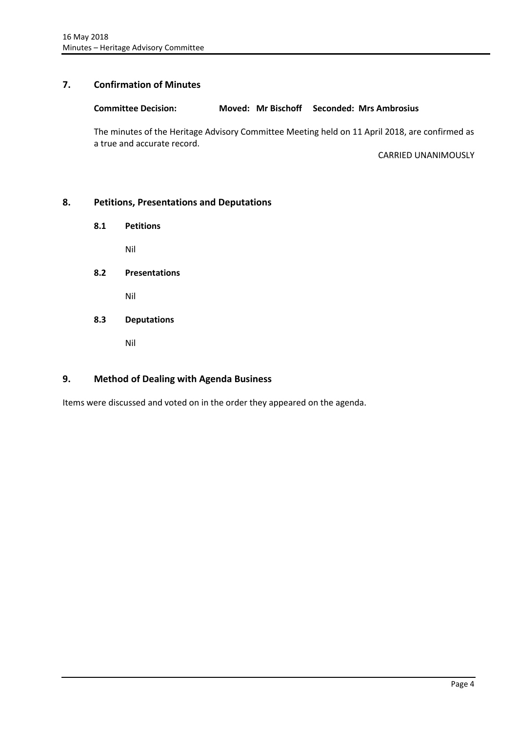## <span id="page-4-0"></span>**7. Confirmation of Minutes**

#### **Committee Decision: Moved: Mr Bischoff Seconded: Mrs Ambrosius**

The minutes of the Heritage Advisory Committee Meeting held on 11 April 2018, are confirmed as a true and accurate record.

CARRIED UNANIMOUSLY

## <span id="page-4-2"></span><span id="page-4-1"></span>**8. Petitions, Presentations and Deputations**

**8.1 Petitions**

Nil

<span id="page-4-3"></span>**8.2 Presentations**

Nil

<span id="page-4-4"></span>**8.3 Deputations**

Nil

## <span id="page-4-5"></span>**9. Method of Dealing with Agenda Business**

Items were discussed and voted on in the order they appeared on the agenda.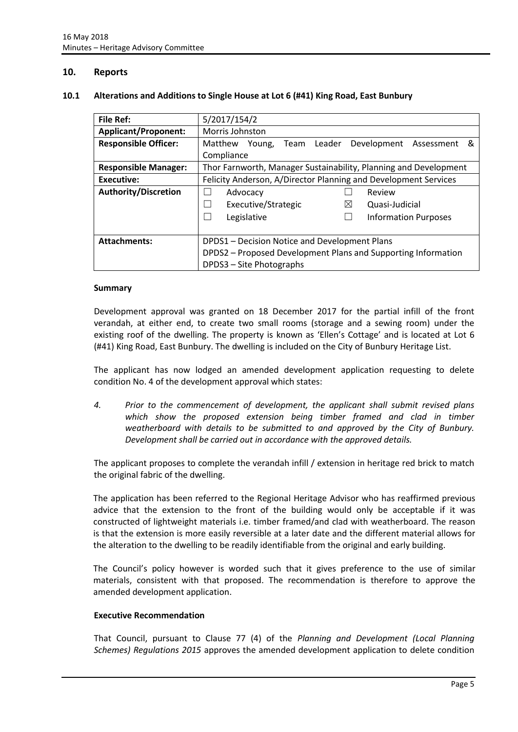## <span id="page-5-0"></span>**10. Reports**

#### <span id="page-5-1"></span>**10.1 Alterations and Additions to Single House at Lot 6 (#41) King Road, East Bunbury**

| <b>File Ref:</b>            | 5/2017/154/2                                                     |  |
|-----------------------------|------------------------------------------------------------------|--|
| <b>Applicant/Proponent:</b> | <b>Morris Johnston</b>                                           |  |
| <b>Responsible Officer:</b> | &<br>Matthew Young, Team Leader<br>Development Assessment        |  |
|                             | Compliance                                                       |  |
| <b>Responsible Manager:</b> | Thor Farnworth, Manager Sustainability, Planning and Development |  |
| <b>Executive:</b>           | Felicity Anderson, A/Director Planning and Development Services  |  |
| <b>Authority/Discretion</b> | Review<br>Advocacy                                               |  |
|                             | Executive/Strategic<br>$\bowtie$<br>Quasi-Judicial               |  |
|                             | Legislative<br><b>Information Purposes</b>                       |  |
|                             |                                                                  |  |
| <b>Attachments:</b>         | DPDS1 - Decision Notice and Development Plans                    |  |
|                             | DPDS2 - Proposed Development Plans and Supporting Information    |  |
|                             | DPDS3 - Site Photographs                                         |  |

#### **Summary**

Development approval was granted on 18 December 2017 for the partial infill of the front verandah, at either end, to create two small rooms (storage and a sewing room) under the existing roof of the dwelling. The property is known as 'Ellen's Cottage' and is located at Lot 6 (#41) King Road, East Bunbury. The dwelling is included on the City of Bunbury Heritage List.

The applicant has now lodged an amended development application requesting to delete condition No. 4 of the development approval which states:

*4. Prior to the commencement of development, the applicant shall submit revised plans which show the proposed extension being timber framed and clad in timber weatherboard with details to be submitted to and approved by the City of Bunbury. Development shall be carried out in accordance with the approved details.*

The applicant proposes to complete the verandah infill / extension in heritage red brick to match the original fabric of the dwelling.

The application has been referred to the Regional Heritage Advisor who has reaffirmed previous advice that the extension to the front of the building would only be acceptable if it was constructed of lightweight materials i.e. timber framed/and clad with weatherboard. The reason is that the extension is more easily reversible at a later date and the different material allows for the alteration to the dwelling to be readily identifiable from the original and early building.

The Council's policy however is worded such that it gives preference to the use of similar materials, consistent with that proposed. The recommendation is therefore to approve the amended development application.

#### **Executive Recommendation**

That Council, pursuant to Clause 77 (4) of the *Planning and Development (Local Planning Schemes) Regulations 2015* approves the amended development application to delete condition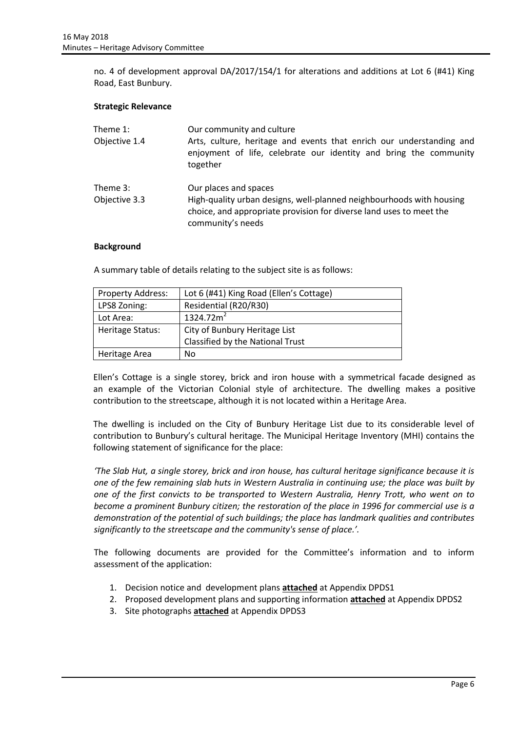no. 4 of development approval DA/2017/154/1 for alterations and additions at Lot 6 (#41) King Road, East Bunbury.

#### **Strategic Relevance**

| Theme 1:<br>Objective 1.4 | Our community and culture<br>Arts, culture, heritage and events that enrich our understanding and<br>enjoyment of life, celebrate our identity and bring the community<br>together        |
|---------------------------|-------------------------------------------------------------------------------------------------------------------------------------------------------------------------------------------|
| Theme 3:<br>Objective 3.3 | Our places and spaces<br>High-quality urban designs, well-planned neighbourhoods with housing<br>choice, and appropriate provision for diverse land uses to meet the<br>community's needs |

#### **Background**

A summary table of details relating to the subject site is as follows:

| <b>Property Address:</b> | Lot 6 (#41) King Road (Ellen's Cottage) |
|--------------------------|-----------------------------------------|
| LPS8 Zoning:             | Residential (R20/R30)                   |
| Lot Area:                | 1324.72m <sup>2</sup>                   |
| Heritage Status:         | City of Bunbury Heritage List           |
|                          | Classified by the National Trust        |
| Heritage Area            | No                                      |

Ellen's Cottage is a single storey, brick and iron house with a symmetrical facade designed as an example of the Victorian Colonial style of architecture. The dwelling makes a positive contribution to the streetscape, although it is not located within a Heritage Area.

The dwelling is included on the City of Bunbury Heritage List due to its considerable level of contribution to Bunbury's cultural heritage. The Municipal Heritage Inventory (MHI) contains the following statement of significance for the place:

*'The Slab Hut, a single storey, brick and iron house, has cultural heritage significance because it is one of the few remaining slab huts in Western Australia in continuing use; the place was built by one of the first convicts to be transported to Western Australia, Henry Trott, who went on to become a prominent Bunbury citizen; the restoration of the place in 1996 for commercial use is a demonstration of the potential of such buildings; the place has landmark qualities and contributes significantly to the streetscape and the community's sense of place.'.*

The following documents are provided for the Committee's information and to inform assessment of the application:

- 1. Decision notice and development plans **attached** at Appendix DPDS1
- 2. Proposed development plans and supporting information **attached** at Appendix DPDS2
- 3. Site photographs **attached** at Appendix DPDS3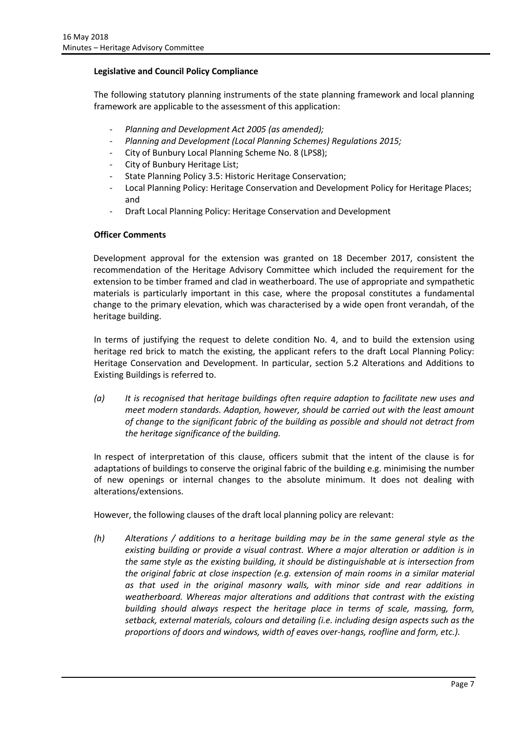## **Legislative and Council Policy Compliance**

The following statutory planning instruments of the state planning framework and local planning framework are applicable to the assessment of this application:

- *Planning and Development Act 2005 (as amended);*
- *Planning and Development (Local Planning Schemes) Regulations 2015;*
- City of Bunbury Local Planning Scheme No. 8 (LPS8);
- City of Bunbury Heritage List;
- State Planning Policy 3.5: Historic Heritage Conservation;
- Local Planning Policy: Heritage Conservation and Development Policy for Heritage Places; and
- Draft Local Planning Policy: Heritage Conservation and Development

## **Officer Comments**

Development approval for the extension was granted on 18 December 2017, consistent the recommendation of the Heritage Advisory Committee which included the requirement for the extension to be timber framed and clad in weatherboard. The use of appropriate and sympathetic materials is particularly important in this case, where the proposal constitutes a fundamental change to the primary elevation, which was characterised by a wide open front verandah, of the heritage building.

In terms of justifying the request to delete condition No. 4, and to build the extension using heritage red brick to match the existing, the applicant refers to the draft Local Planning Policy: Heritage Conservation and Development. In particular, section 5.2 Alterations and Additions to Existing Buildings is referred to.

*(a) It is recognised that heritage buildings often require adaption to facilitate new uses and meet modern standards. Adaption, however, should be carried out with the least amount of change to the significant fabric of the building as possible and should not detract from the heritage significance of the building.*

In respect of interpretation of this clause, officers submit that the intent of the clause is for adaptations of buildings to conserve the original fabric of the building e.g. minimising the number of new openings or internal changes to the absolute minimum. It does not dealing with alterations/extensions.

However, the following clauses of the draft local planning policy are relevant:

*(h) Alterations / additions to a heritage building may be in the same general style as the existing building or provide a visual contrast. Where a major alteration or addition is in the same style as the existing building, it should be distinguishable at is intersection from the original fabric at close inspection (e.g. extension of main rooms in a similar material as that used in the original masonry walls, with minor side and rear additions in weatherboard. Whereas major alterations and additions that contrast with the existing building should always respect the heritage place in terms of scale, massing, form, setback, external materials, colours and detailing (i.e. including design aspects such as the proportions of doors and windows, width of eaves over-hangs, roofline and form, etc.).*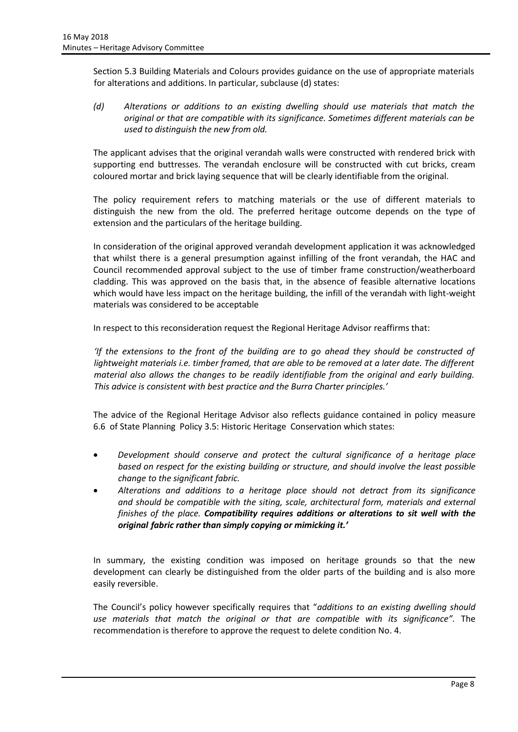Section 5.3 Building Materials and Colours provides guidance on the use of appropriate materials for alterations and additions. In particular, subclause (d) states:

*(d) Alterations or additions to an existing dwelling should use materials that match the original or that are compatible with its significance. Sometimes different materials can be used to distinguish the new from old.*

The applicant advises that the original verandah walls were constructed with rendered brick with supporting end buttresses. The verandah enclosure will be constructed with cut bricks, cream coloured mortar and brick laying sequence that will be clearly identifiable from the original.

The policy requirement refers to matching materials or the use of different materials to distinguish the new from the old. The preferred heritage outcome depends on the type of extension and the particulars of the heritage building.

In consideration of the original approved verandah development application it was acknowledged that whilst there is a general presumption against infilling of the front verandah, the HAC and Council recommended approval subject to the use of timber frame construction/weatherboard cladding. This was approved on the basis that, in the absence of feasible alternative locations which would have less impact on the heritage building, the infill of the verandah with light-weight materials was considered to be acceptable

In respect to this reconsideration request the Regional Heritage Advisor reaffirms that:

*'If the extensions to the front of the building are to go ahead they should be constructed of*  lightweight materials i.e. timber framed, that are able to be removed at a later date. The different *material also allows the changes to be readily identifiable from the original and early building. This advice is consistent with best practice and the Burra Charter principles.'*

The advice of the Regional Heritage Advisor also reflects guidance contained in policy measure 6.6 of State Planning Policy 3.5: Historic Heritage Conservation which states:

- *Development should conserve and protect the cultural significance of a heritage place based on respect for the existing building or structure, and should involve the least possible change to the significant fabric.*
- *Alterations and additions to a heritage place should not detract from its significance and should be compatible with the siting, scale, architectural form, materials and external finishes of the place. Compatibility requires additions or alterations to sit well with the original fabric rather than simply copying or mimicking it.'*

In summary, the existing condition was imposed on heritage grounds so that the new development can clearly be distinguished from the older parts of the building and is also more easily reversible.

The Council's policy however specifically requires that "*additions to an existing dwelling should use materials that match the original or that are compatible with its significance".* The recommendation is therefore to approve the request to delete condition No. 4.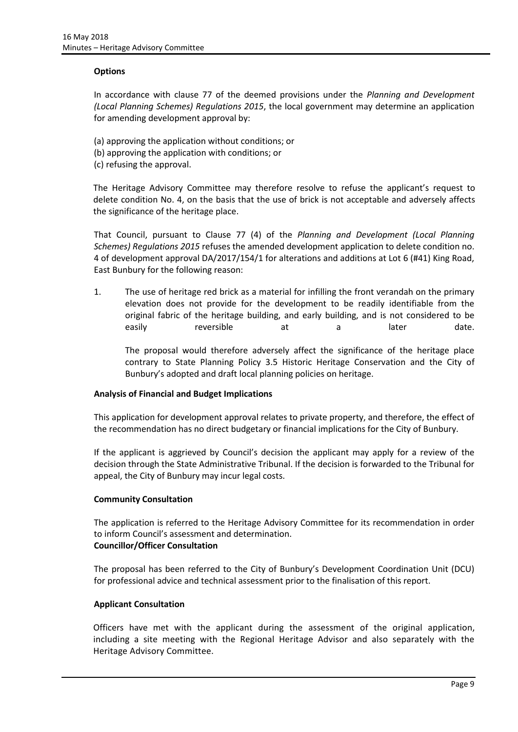#### **Options**

In accordance with clause 77 of the deemed provisions under the *Planning and Development (Local Planning Schemes) Regulations 2015*, the local government may determine an application for amending development approval by:

- (a) approving the application without conditions; or
- (b) approving the application with conditions; or
- (c) refusing the approval.

The Heritage Advisory Committee may therefore resolve to refuse the applicant's request to delete condition No. 4, on the basis that the use of brick is not acceptable and adversely affects the significance of the heritage place.

That Council, pursuant to Clause 77 (4) of the *Planning and Development (Local Planning Schemes) Regulations 2015* refuses the amended development application to delete condition no. 4 of development approval DA/2017/154/1 for alterations and additions at Lot 6 (#41) King Road, East Bunbury for the following reason:

1. The use of heritage red brick as a material for infilling the front verandah on the primary elevation does not provide for the development to be readily identifiable from the original fabric of the heritage building, and early building, and is not considered to be easily reversible at a later date.

The proposal would therefore adversely affect the significance of the heritage place contrary to State Planning Policy 3.5 Historic Heritage Conservation and the City of Bunbury's adopted and draft local planning policies on heritage.

## **Analysis of Financial and Budget Implications**

This application for development approval relates to private property, and therefore, the effect of the recommendation has no direct budgetary or financial implications for the City of Bunbury.

If the applicant is aggrieved by Council's decision the applicant may apply for a review of the decision through the State Administrative Tribunal. If the decision is forwarded to the Tribunal for appeal, the City of Bunbury may incur legal costs.

#### **Community Consultation**

The application is referred to the Heritage Advisory Committee for its recommendation in order to inform Council's assessment and determination.

## **Councillor/Officer Consultation**

The proposal has been referred to the City of Bunbury's Development Coordination Unit (DCU) for professional advice and technical assessment prior to the finalisation of this report.

#### **Applicant Consultation**

Officers have met with the applicant during the assessment of the original application, including a site meeting with the Regional Heritage Advisor and also separately with the Heritage Advisory Committee.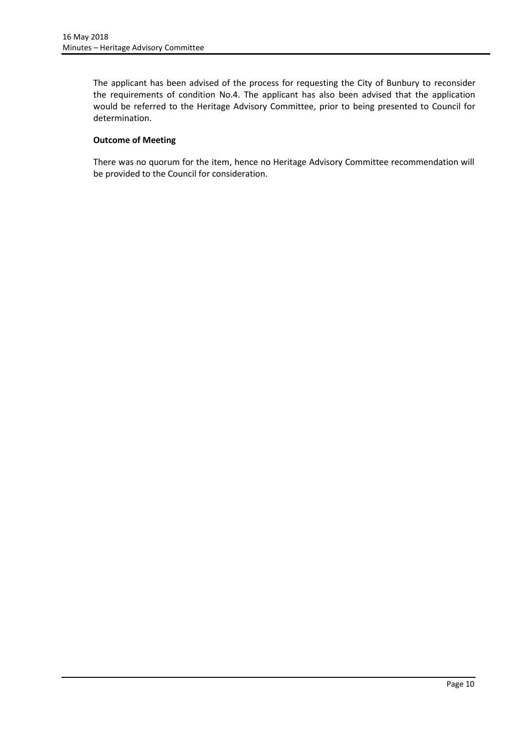The applicant has been advised of the process for requesting the City of Bunbury to reconsider the requirements of condition No.4. The applicant has also been advised that the application would be referred to the Heritage Advisory Committee, prior to being presented to Council for determination.

## **Outcome of Meeting**

There was no quorum for the item, hence no Heritage Advisory Committee recommendation will be provided to the Council for consideration.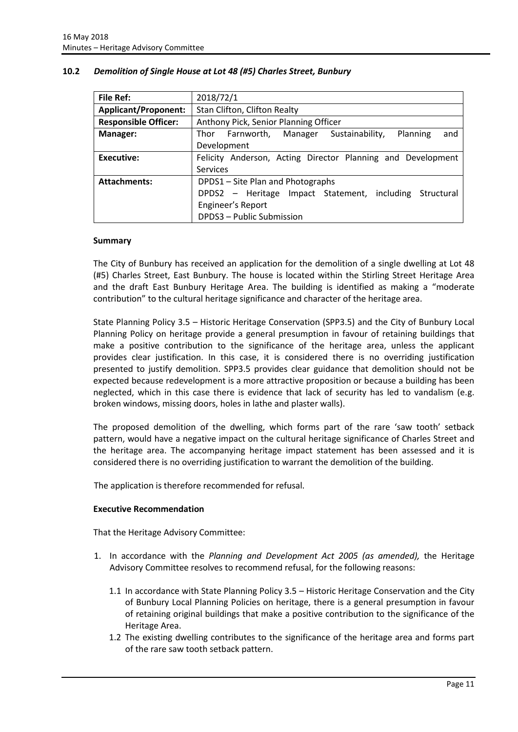| File Ref:                   | 2018/72/1                                                        |  |
|-----------------------------|------------------------------------------------------------------|--|
| <b>Applicant/Proponent:</b> | Stan Clifton, Clifton Realty                                     |  |
| <b>Responsible Officer:</b> | Anthony Pick, Senior Planning Officer                            |  |
| Manager:                    | Sustainability,<br>Planning<br>Thor Farnworth,<br>Manager<br>and |  |
|                             | Development                                                      |  |
| Executive:                  | Felicity Anderson, Acting Director Planning and Development      |  |
|                             | Services                                                         |  |
| <b>Attachments:</b>         | DPDS1 - Site Plan and Photographs                                |  |
|                             | DPDS2 – Heritage Impact Statement, including Structural          |  |
|                             | Engineer's Report                                                |  |
|                             | DPDS3 - Public Submission                                        |  |

## <span id="page-11-0"></span>**10.2** *Demolition of Single House at Lot 48 (#5) Charles Street, Bunbury*

#### **Summary**

The City of Bunbury has received an application for the demolition of a single dwelling at Lot 48 (#5) Charles Street, East Bunbury. The house is located within the Stirling Street Heritage Area and the draft East Bunbury Heritage Area. The building is identified as making a "moderate contribution" to the cultural heritage significance and character of the heritage area.

State Planning Policy 3.5 – Historic Heritage Conservation (SPP3.5) and the City of Bunbury Local Planning Policy on heritage provide a general presumption in favour of retaining buildings that make a positive contribution to the significance of the heritage area, unless the applicant provides clear justification. In this case, it is considered there is no overriding justification presented to justify demolition. SPP3.5 provides clear guidance that demolition should not be expected because redevelopment is a more attractive proposition or because a building has been neglected, which in this case there is evidence that lack of security has led to vandalism (e.g. broken windows, missing doors, holes in lathe and plaster walls).

The proposed demolition of the dwelling, which forms part of the rare 'saw tooth' setback pattern, would have a negative impact on the cultural heritage significance of Charles Street and the heritage area. The accompanying heritage impact statement has been assessed and it is considered there is no overriding justification to warrant the demolition of the building.

The application is therefore recommended for refusal.

#### **Executive Recommendation**

That the Heritage Advisory Committee:

- 1. In accordance with the *Planning and Development Act 2005 (as amended),* the Heritage Advisory Committee resolves to recommend refusal, for the following reasons:
	- 1.1 In accordance with State Planning Policy 3.5 Historic Heritage Conservation and the City of Bunbury Local Planning Policies on heritage, there is a general presumption in favour of retaining original buildings that make a positive contribution to the significance of the Heritage Area.
	- 1.2 The existing dwelling contributes to the significance of the heritage area and forms part of the rare saw tooth setback pattern.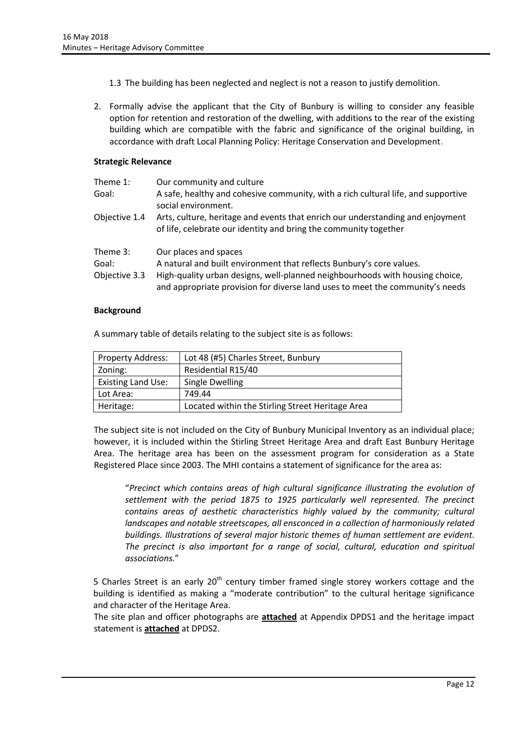- 1.3 The building has been neglected and neglect is not a reason to justify demolition.
- 2. Formally advise the applicant that the City of Bunbury is willing to consider any feasible option for retention and restoration of the dwelling, with additions to the rear of the existing building which are compatible with the fabric and significance of the original building, in accordance with draft Local Planning Policy: Heritage Conservation and Development.

#### **Strategic Relevance**

| Theme 1:      | Our community and culture                                                                                                                                     |
|---------------|---------------------------------------------------------------------------------------------------------------------------------------------------------------|
| Goal:         | A safe, healthy and cohesive community, with a rich cultural life, and supportive<br>social environment.                                                      |
| Objective 1.4 | Arts, culture, heritage and events that enrich our understanding and enjoyment<br>of life, celebrate our identity and bring the community together            |
| Theme 3:      | Our places and spaces                                                                                                                                         |
| Goal:         | A natural and built environment that reflects Bunbury's core values.                                                                                          |
| Objective 3.3 | High-quality urban designs, well-planned neighbourhoods with housing choice,<br>and appropriate provision for diverse land uses to meet the community's needs |

#### **Background**

A summary table of details relating to the subject site is as follows:

| <b>Property Address:</b>  | Lot 48 (#5) Charles Street, Bunbury              |
|---------------------------|--------------------------------------------------|
| Zoning:                   | Residential R15/40                               |
| <b>Existing Land Use:</b> | Single Dwelling                                  |
| Lot Area:                 | 749.44                                           |
| Heritage:                 | Located within the Stirling Street Heritage Area |

The subject site is not included on the City of Bunbury Municipal Inventory as an individual place; however, it is included within the Stirling Street Heritage Area and draft East Bunbury Heritage Area. The heritage area has been on the assessment program for consideration as a State Registered Place since 2003. The MHI contains a statement of significance for the area as:

"*Precinct which contains areas of high cultural significance illustrating the evolution of settlement with the period 1875 to 1925 particularly well represented. The precinct contains areas of aesthetic characteristics highly valued by the community; cultural landscapes and notable streetscapes, all ensconced in a collection of harmoniously related buildings. Illustrations of several major historic themes of human settlement are evident. The precinct is also important for a range of social, cultural, education and spiritual associations.*"

5 Charles Street is an early  $20<sup>th</sup>$  century timber framed single storey workers cottage and the building is identified as making a "moderate contribution" to the cultural heritage significance and character of the Heritage Area.

The site plan and officer photographs are **attached** at Appendix DPDS1 and the heritage impact statement is **attached** at DPDS2.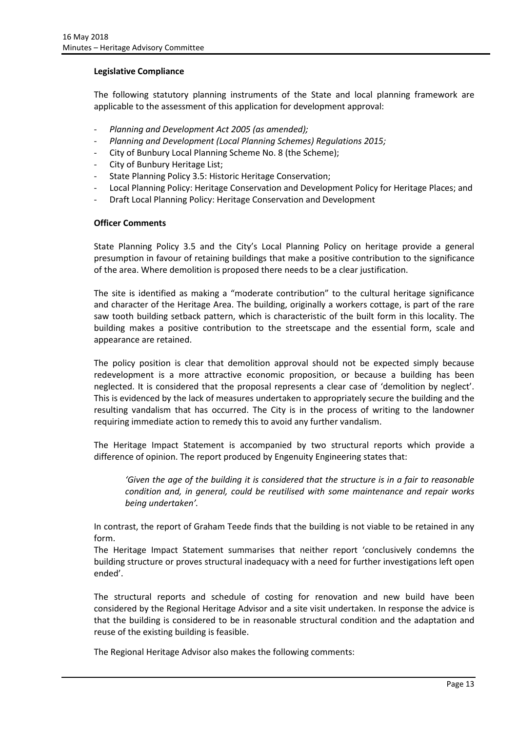#### **Legislative Compliance**

The following statutory planning instruments of the State and local planning framework are applicable to the assessment of this application for development approval:

- *Planning and Development Act 2005 (as amended);*
- *Planning and Development (Local Planning Schemes) Regulations 2015;*
- City of Bunbury Local Planning Scheme No. 8 (the Scheme);
- City of Bunbury Heritage List;
- State Planning Policy 3.5: Historic Heritage Conservation;
- Local Planning Policy: Heritage Conservation and Development Policy for Heritage Places; and
- Draft Local Planning Policy: Heritage Conservation and Development

#### **Officer Comments**

State Planning Policy 3.5 and the City's Local Planning Policy on heritage provide a general presumption in favour of retaining buildings that make a positive contribution to the significance of the area. Where demolition is proposed there needs to be a clear justification.

The site is identified as making a "moderate contribution" to the cultural heritage significance and character of the Heritage Area. The building, originally a workers cottage, is part of the rare saw tooth building setback pattern, which is characteristic of the built form in this locality. The building makes a positive contribution to the streetscape and the essential form, scale and appearance are retained.

The policy position is clear that demolition approval should not be expected simply because redevelopment is a more attractive economic proposition, or because a building has been neglected. It is considered that the proposal represents a clear case of 'demolition by neglect'. This is evidenced by the lack of measures undertaken to appropriately secure the building and the resulting vandalism that has occurred. The City is in the process of writing to the landowner requiring immediate action to remedy this to avoid any further vandalism.

The Heritage Impact Statement is accompanied by two structural reports which provide a difference of opinion. The report produced by Engenuity Engineering states that:

*'Given the age of the building it is considered that the structure is in a fair to reasonable condition and, in general, could be reutilised with some maintenance and repair works being undertaken'.*

In contrast, the report of Graham Teede finds that the building is not viable to be retained in any form.

The Heritage Impact Statement summarises that neither report 'conclusively condemns the building structure or proves structural inadequacy with a need for further investigations left open ended'.

The structural reports and schedule of costing for renovation and new build have been considered by the Regional Heritage Advisor and a site visit undertaken. In response the advice is that the building is considered to be in reasonable structural condition and the adaptation and reuse of the existing building is feasible.

The Regional Heritage Advisor also makes the following comments: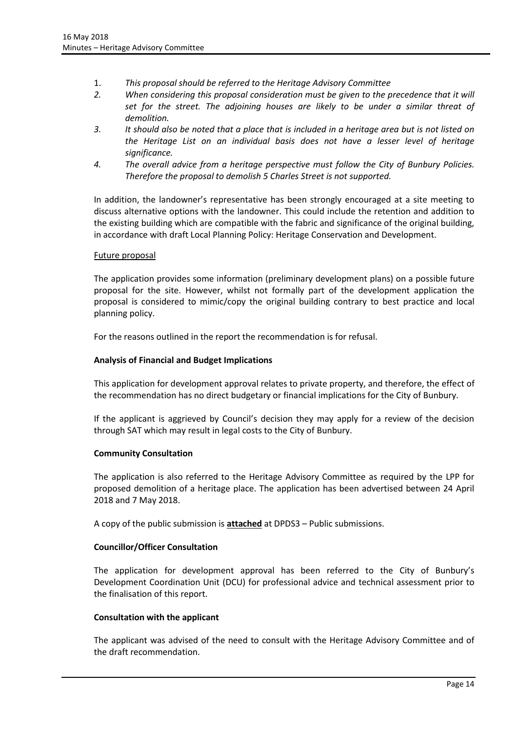- 1. *This proposal should be referred to the Heritage Advisory Committee*
- *2. When considering this proposal consideration must be given to the precedence that it will set for the street. The adjoining houses are likely to be under a similar threat of demolition.*
- *3. It should also be noted that a place that is included in a heritage area but is not listed on the Heritage List on an individual basis does not have a lesser level of heritage significance.*
- *4. The overall advice from a heritage perspective must follow the City of Bunbury Policies. Therefore the proposal to demolish 5 Charles Street is not supported.*

In addition, the landowner's representative has been strongly encouraged at a site meeting to discuss alternative options with the landowner. This could include the retention and addition to the existing building which are compatible with the fabric and significance of the original building, in accordance with draft Local Planning Policy: Heritage Conservation and Development.

## Future proposal

The application provides some information (preliminary development plans) on a possible future proposal for the site. However, whilst not formally part of the development application the proposal is considered to mimic/copy the original building contrary to best practice and local planning policy.

For the reasons outlined in the report the recommendation is for refusal.

## **Analysis of Financial and Budget Implications**

This application for development approval relates to private property, and therefore, the effect of the recommendation has no direct budgetary or financial implications for the City of Bunbury.

If the applicant is aggrieved by Council's decision they may apply for a review of the decision through SAT which may result in legal costs to the City of Bunbury.

#### **Community Consultation**

The application is also referred to the Heritage Advisory Committee as required by the LPP for proposed demolition of a heritage place. The application has been advertised between 24 April 2018 and 7 May 2018.

A copy of the public submission is **attached** at DPDS3 – Public submissions.

#### **Councillor/Officer Consultation**

The application for development approval has been referred to the City of Bunbury's Development Coordination Unit (DCU) for professional advice and technical assessment prior to the finalisation of this report.

#### **Consultation with the applicant**

The applicant was advised of the need to consult with the Heritage Advisory Committee and of the draft recommendation.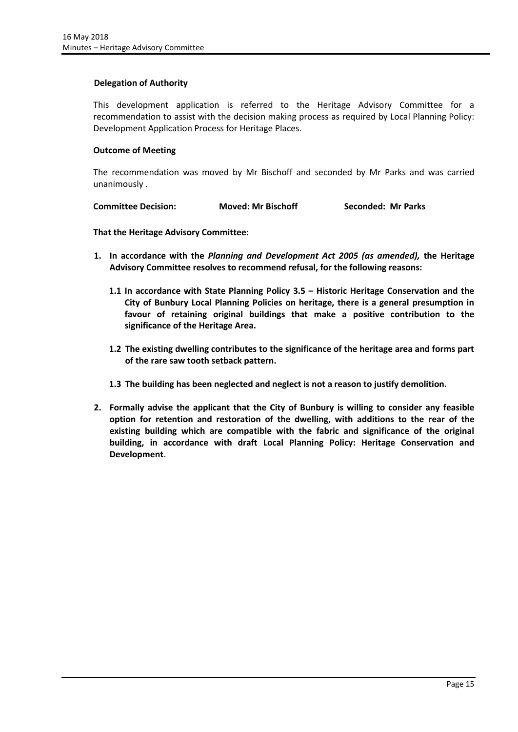#### **Delegation of Authority**

This development application is referred to the Heritage Advisory Committee for a recommendation to assist with the decision making process as required by Local Planning Policy: Development Application Process for Heritage Places.

#### **Outcome of Meeting**

The recommendation was moved by Mr Bischoff and seconded by Mr Parks and was carried unanimously .

| <b>Committee Decision:</b> | <b>Moved: Mr Bischoff</b> | Seconded: Mr Parks |
|----------------------------|---------------------------|--------------------|
|----------------------------|---------------------------|--------------------|

**That the Heritage Advisory Committee:**

- **1. In accordance with the** *Planning and Development Act 2005 (as amended),* **the Heritage Advisory Committee resolves to recommend refusal, for the following reasons:**
	- **1.1 In accordance with State Planning Policy 3.5 – Historic Heritage Conservation and the City of Bunbury Local Planning Policies on heritage, there is a general presumption in favour of retaining original buildings that make a positive contribution to the significance of the Heritage Area.**
	- **1.2 The existing dwelling contributes to the significance of the heritage area and forms part of the rare saw tooth setback pattern.**
	- **1.3 The building has been neglected and neglect is not a reason to justify demolition.**
- **2. Formally advise the applicant that the City of Bunbury is willing to consider any feasible option for retention and restoration of the dwelling, with additions to the rear of the existing building which are compatible with the fabric and significance of the original building, in accordance with draft Local Planning Policy: Heritage Conservation and Development.**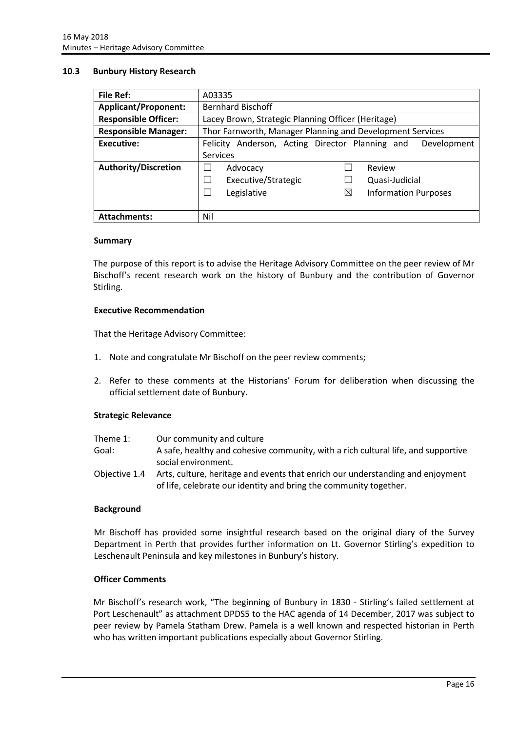#### <span id="page-16-0"></span>**10.3 Bunbury History Research**

| <b>File Ref:</b>            | A03335                                                            |  |
|-----------------------------|-------------------------------------------------------------------|--|
| <b>Applicant/Proponent:</b> | <b>Bernhard Bischoff</b>                                          |  |
| <b>Responsible Officer:</b> | Lacey Brown, Strategic Planning Officer (Heritage)                |  |
| <b>Responsible Manager:</b> | Thor Farnworth, Manager Planning and Development Services         |  |
| Executive:                  | Anderson, Acting Director Planning and<br>Development<br>Felicity |  |
|                             | Services                                                          |  |
| <b>Authority/Discretion</b> | Review<br>Advocacy                                                |  |
|                             | Executive/Strategic<br>Quasi-Judicial                             |  |
|                             | Legislative<br>⋈<br><b>Information Purposes</b>                   |  |
|                             |                                                                   |  |
| <b>Attachments:</b>         | Nil                                                               |  |

#### **Summary**

The purpose of this report is to advise the Heritage Advisory Committee on the peer review of Mr Bischoff's recent research work on the history of Bunbury and the contribution of Governor Stirling.

#### **Executive Recommendation**

That the Heritage Advisory Committee:

- 1. Note and congratulate Mr Bischoff on the peer review comments;
- 2. Refer to these comments at the Historians' Forum for deliberation when discussing the official settlement date of Bunbury.

#### **Strategic Relevance**

| Theme 1:      | Our community and culture                                                         |
|---------------|-----------------------------------------------------------------------------------|
| Goal:         | A safe, healthy and cohesive community, with a rich cultural life, and supportive |
|               | social environment.                                                               |
| Obiective 1.4 | Arts, culture, heritage and events that enrich our understanding and enjoyment    |
|               | of life, celebrate our identity and bring the community together.                 |

#### **Background**

Mr Bischoff has provided some insightful research based on the original diary of the Survey Department in Perth that provides further information on Lt. Governor Stirling's expedition to Leschenault Peninsula and key milestones in Bunbury's history.

#### **Officer Comments**

Mr Bischoff's research work, "The beginning of Bunbury in 1830 - Stirling's failed settlement at Port Leschenault" as attachment DPDS5 to the HAC agenda of 14 December, 2017 was subject to peer review by Pamela Statham Drew. Pamela is a well known and respected historian in Perth who has written important publications especially about Governor Stirling.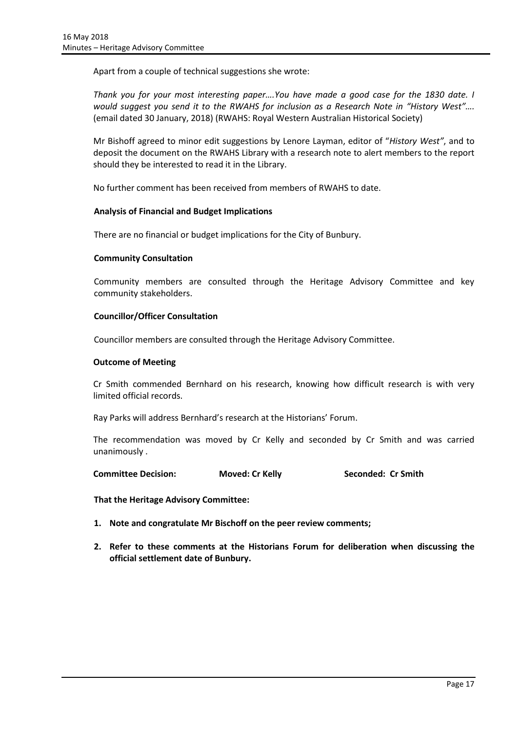Apart from a couple of technical suggestions she wrote:

*Thank you for your most interesting paper….You have made a good case for the 1830 date. I would suggest you send it to the RWAHS for inclusion as a Research Note in "History West"....* (email dated 30 January, 2018) (RWAHS: Royal Western Australian Historical Society)

Mr Bishoff agreed to minor edit suggestions by Lenore Layman, editor of "*History West"*, and to deposit the document on the RWAHS Library with a research note to alert members to the report should they be interested to read it in the Library.

No further comment has been received from members of RWAHS to date.

#### **Analysis of Financial and Budget Implications**

There are no financial or budget implications for the City of Bunbury.

#### **Community Consultation**

Community members are consulted through the Heritage Advisory Committee and key community stakeholders.

## **Councillor/Officer Consultation**

Councillor members are consulted through the Heritage Advisory Committee.

#### **Outcome of Meeting**

Cr Smith commended Bernhard on his research, knowing how difficult research is with very limited official records.

Ray Parks will address Bernhard's research at the Historians' Forum.

The recommendation was moved by Cr Kelly and seconded by Cr Smith and was carried unanimously .

**Committee Decision: Moved: Cr Kelly <b>Seconded: Cr Smith** 

**That the Heritage Advisory Committee:**

- **1. Note and congratulate Mr Bischoff on the peer review comments;**
- **2. Refer to these comments at the Historians Forum for deliberation when discussing the official settlement date of Bunbury.**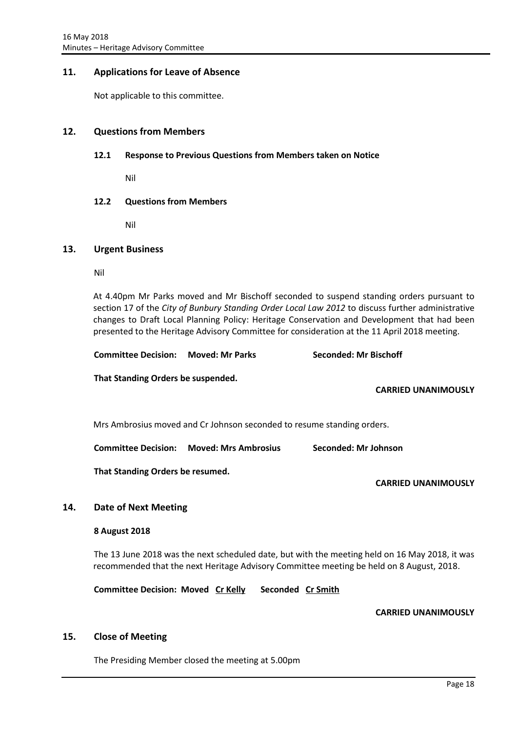## <span id="page-18-0"></span>**11. Applications for Leave of Absence**

Not applicable to this committee.

#### <span id="page-18-2"></span><span id="page-18-1"></span>**12. Questions from Members**

#### **12.1 Response to Previous Questions from Members taken on Notice**

Nil

#### <span id="page-18-3"></span>**12.2 Questions from Members**

Nil

#### <span id="page-18-4"></span>**13. Urgent Business**

Nil

At 4.40pm Mr Parks moved and Mr Bischoff seconded to suspend standing orders pursuant to section 17 of the *City of Bunbury Standing Order Local Law 2012* to discuss further administrative changes to Draft Local Planning Policy: Heritage Conservation and Development that had been presented to the Heritage Advisory Committee for consideration at the 11 April 2018 meeting.

| <b>Committee Decision: Moved: Mr Parks</b> |  | <b>Seconded: Mr Bischoff</b> |
|--------------------------------------------|--|------------------------------|
|--------------------------------------------|--|------------------------------|

**That Standing Orders be suspended.**

**CARRIED UNANIMOUSLY**

Mrs Ambrosius moved and Cr Johnson seconded to resume standing orders.

**Committee Decision: Moved: Mrs Ambrosius Seconded: Mr Johnson**

**That Standing Orders be resumed.**

**CARRIED UNANIMOUSLY**

#### <span id="page-18-5"></span>**14. Date of Next Meeting**

#### **8 August 2018**

The 13 June 2018 was the next scheduled date, but with the meeting held on 16 May 2018, it was recommended that the next Heritage Advisory Committee meeting be held on 8 August, 2018.

**Committee Decision: Moved Cr Kelly Seconded Cr Smith**

#### **CARRIED UNANIMOUSLY**

#### <span id="page-18-6"></span>**15. Close of Meeting**

The Presiding Member closed the meeting at 5.00pm